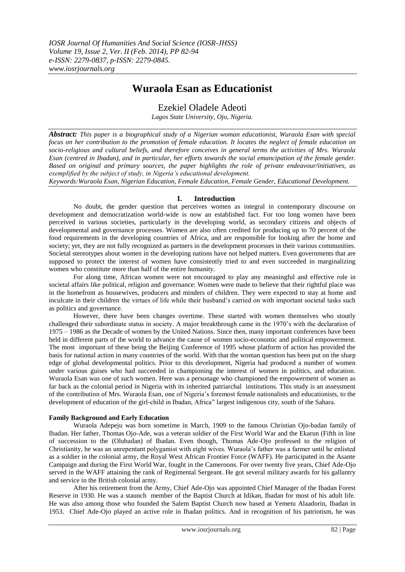# **Wuraola Esan as Educationist**

## Ezekiel Oladele Adeoti

*Lagos State University, Ojo, Nigeria.*

*Abstract: This paper is a biographical study of a Nigerian woman educationist, Wuraola Esan with special focus on her contribution to the promotion of female education. It locates the neglect of female education on socio-religious and cultural beliefs, and therefore conceives in general terms the activities of Mrs. Wuraola Esan (centred in Ibadan), and in particular, her efforts towards the social emancipation of the female gender. Based on original and primary sources, the paper highlights the role of private endeavour/initiatives, as exemplified by the subject of study, in Nigeria's educational development.*

*Keywords:Wuraola Esan, Nigerian Education, Female Education, Female Gender, Educational Development.*

## **I. Introduction**

No doubt, the gender question that perceives women as integral in contemporary discourse on development and democratization world-wide is now an established fact. For too long women have been perceived in various societies, particularly in the developing world, as secondary citizens and objects of developmental and governance processes. Women are also often credited for producing up to 70 percent of the food requirements in the developing countries of Africa, and are responsible for looking after the home and society; yet, they are not fully recognized as partners in the development processes in their various communities. Societal stereotypes about women in the developing nations have not helped matters. Even governments that are supposed to protect the interest of women have consistently tried to and even succeeded in marginalizing women who constitute more than half of the entire humanity.

For along time, African women were not encouraged to play any meaningful and effective role in societal affairs like political, religion and governance: Women were made to believe that their rightful place was in the homefront as housewives, producers and minders of children. They were expected to stay at home and inculcate in their children the virtues of life while their husband"s carried on with important societal tasks such as politics and governance.

However, there have been changes overtime. These started with women themselves who stoutly challenged their subordinate status in society. A major breakthrough came in the 1970"s with the declaration of 1975 – 1986 as the Decade of women by the United Nations. Since then, many important conferences have been held in different parts of the world to advance the cause of women socio-economic and political empowerment. The most important of these being the Beijing Conference of 1995 whose platform of action has provided the basis for national action in many countries of the world. With that the woman question has been put on the sharp edge of global developmental politics. Prior to this development, Nigeria had produced a number of women under various guises who had succeeded in championing the interest of women in politics, and education. Wuraola Esan was one of such women. Here was a personage who championed the empowerment of women as far back as the colonial period in Nigeria with its inherited patriarchal institutions. This study is an assessment of the contribution of Mrs. Wuraola Esan, one of Nigeria"s foremost female nationalists and educationists, to the development of education of the girl-child in Ibadan, Africa" largest indigenous city, south of the Sahara.

## **Family Background and Early Education**

Wuraola Adepeju was born sometime in March, 1909 to the famous Christian Ojo-badan family of Ibadan. Her father, Thomas Ojo-Ade, was a veteran soldier of the First World War and the Ekarun (Fifth in line of succession to the (Olubadan) of Ibadan. Even though, Thomas Ade-Ojo professed to the religion of Christianity, he was an unrepentant polygamist with eight wives. Wuraola"s father was a farmer until he enlisted as a soldier in the colonial army, the Royal West African Frontier Force (WAFF). He participated in the Asante Campaign and during the First World War, fought in the Cameroons. For over twenty five years, Chief Ade-Ojo served in the WAFF attaining the rank of Regimental Sergeant. He got several military awards for his gallantry and service in the British colonial army.

After his retirement from the Army, Chief Ade-Ojo was appointed Chief Manager of the Ibadan Forest Reserve in 1930. He was a staunch member of the Baptist Church at Idikan, Ibadan for most of his adult life. He was also among those who founded the Salem Baptist Church now based at Yemetu Alaadorin, Ibadan in 1953. Chief Ade-Ojo played an active role in Ibadan politics. And in recognition of his patriotism, he was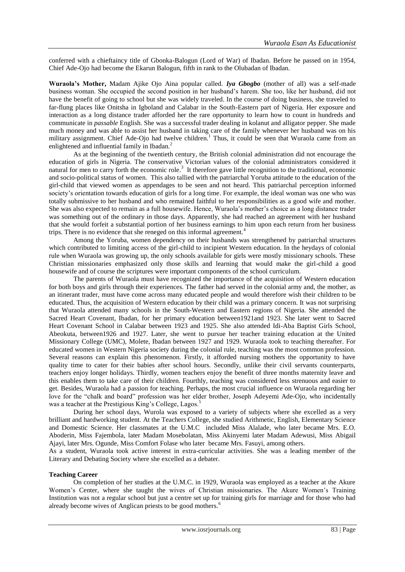conferred with a chieftaincy title of Gbonka-Balogun (Lord of War) of Ibadan. Before he passed on in 1954, Chief Ade-Ojo had become the Ekarun Balogun, fifth in rank to the Olubadan of Ibadan.

**Wuraola's Mother,** Madam Ajike Ojo Aina popular called. *Iya Gbogbo* (mother of all) was a self-made business woman. She occupied the second position in her husband"s harem. She too, like her husband, did not have the benefit of going to school but she was widely traveled. In the course of doing business, she traveled to far-flung places like Onitsha in Igboland and Calabar in the South-Eastern part of Nigeria. Her exposure and interaction as a long distance trader afforded her the rare opportunity to learn how to count in hundreds and communicate in *passable* English. She was a successful trader dealing in kolanut and alligator pepper. She made much money and was able to assist her husband in taking care of the family whenever her husband was on his military assignment. Chief Ade-Ojo had twelve children.<sup>1</sup> Thus, it could be seen that Wuraola came from an enlightened and influential family in Ibadan. $<sup>2</sup>$ </sup>

As at the beginning of the twentieth century, the British colonial administration did not encourage the education of girls in Nigeria. The conservative Victorian values of the colonial administrators considered it natural for men to carry forth the economic role.<sup>3</sup> It therefore gave little recognition to the traditional, economic and socio-political status of women. This also tallied with the patriarchal Yoruba attitude to the education of the girl-child that viewed women as appendages to be seen and not heard. This patriarchal perception informed society's orientation towards education of girls for a long time. For example, the ideal woman was one who was totally submissive to her husband and who remained faithful to her responsibilities as a good wife and mother. She was also expected to remain as a full housewife. Hence, Wuraola"s mother"s choice as a long distance trader was something out of the ordinary in those days. Apparently, she had reached an agreement with her husband that she would forfeit a substantial portion of her business earnings to him upon each return from her business trips. There is no evidence that she reneged on this informal agreement.<sup>4</sup>

Among the Yoruba, women dependency on their husbands was strengthened by patriarchal structures which contributed to limiting access of the girl-child to incipient Western education. In the heydays of colonial rule when Wuraola was growing up, the only schools available for girls were mostly missionary schools. These Christian missionaries emphasized only those skills and learning that would make the girl-child a good housewife and of course the scriptures were important components of the school curriculum.

The parents of Wuraola must have recognized the importance of the acquisition of Western education for both boys and girls through their experiences. The father had served in the colonial army and, the mother, as an itinerant trader, must have come across many educated people and would therefore wish their children to be educated. Thus, the acquisition of Western education by their child was a primary concern. It was not surprising that Wuraola attended many schools in the South-Western and Eastern regions of Nigeria. She attended the Sacred Heart Covenant, Ibadan, for her primary education between1921and 1923. She later went to Sacred Heart Covenant School in Calabar between 1923 and 1925. She also attended Idi-Aba Baptist Girls School, Abeokuta, between1926 and 1927. Later, she went to pursue her teacher training education at the United Missionary College (UMC), Molete, Ibadan between 1927 and 1929. Wuraola took to teaching thereafter. For educated women in Western Nigeria society during the colonial rule, teaching was the most common profession. Several reasons can explain this phenomenon. Firstly, it afforded nursing mothers the opportunity to have quality time to cater for their babies after school hours. Secondly, unlike their civil servants counterparts, teachers enjoy longer holidays. Thirdly, women teachers enjoy the benefit of three months maternity leave and this enables them to take care of their children. Fourthly, teaching was considered less strenuous and easier to get. Besides, Wuraola had a passion for teaching. Perhaps, the most crucial influence on Wuraola regarding her love for the "chalk and board" profession was her elder brother, Joseph Adeyemi Ade-Ojo, who incidentally was a teacher at the Prestigious King's College, Lagos.<sup>5</sup>

During her school days, Wurola was exposed to a variety of subjects where she excelled as a very brilliant and hardworking student. At the Teachers College, she studied Arithmetic, English, Elementary Science and Domestic Science. Her classmates at the U.M.C included Miss Alalade, who later became Mrs. E.O. Aboderin, Miss Fajembola, later Madam Mosebolatan, Miss Akinyemi later Madam Adewusi, Miss Abigail Ajayi, later Mrs. Ogunde, Miss Comfort Folase who later became Mrs. Fasuyi, among others.

As a student, Wuraola took active interest in extra-curricular activities. She was a leading member of the Literary and Debating Society where she excelled as a debater.

## **Teaching Career**

On completion of her studies at the U.M.C. in 1929, Wuraola was employed as a teacher at the Akure Women"s Center, where she taught the wives of Christian missionaries. The Akure Women"s Training Institution was not a regular school but just a centre set up for training girls for marriage and for those who had already become wives of Anglican priests to be good mothers.<sup>6</sup>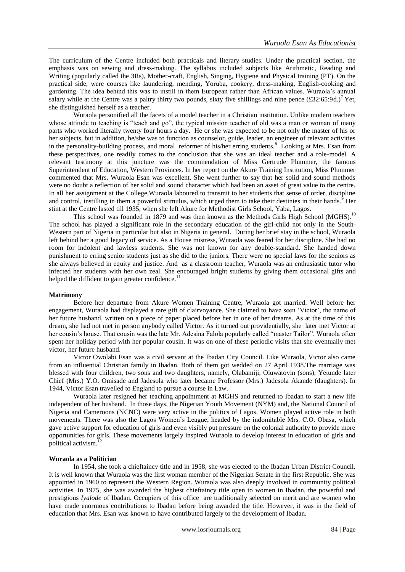The curriculum of the Centre included both practicals and literary studies. Under the practical section, the emphasis was on sewing and dress-making. The syllabus included subjects like Arithmetic, Reading and Writing (popularly called the 3Rs), Mother-craft, English, Singing, Hygiene and Physical training (PT). On the practical side, were courses like laundering, mending, Yoruba, cookery, dress-making, English-cooking and gardening. The idea behind this was to instill in them European rather than African values. Wuraola"s annual salary while at the Centre was a paltry thirty two pounds, sixty five shillings and nine pence  $(\text{\pounds}32:65:9d.)^7$  Yet, she distinguished herself as a teacher.

Wuraola personified all the facets of a model teacher in a Christian institution. Unlike modern teachers whose attitude to teaching is "teach and go", the typical mission teacher of old was a man or woman of many parts who worked literally twenty four hours a day. He or she was expected to be not only the master of his or her subjects, but in addition, he/she was to function as counselor, guide, leader, an engineer of relevant activities in the personality-building process, and moral reformer of his/her erring students.<sup>8</sup> Looking at Mrs. Esan from these perspectives, one readily comes to the conclusion that she was an ideal teacher and a role-model. A relevant testimony at this juncture was the commendation of Miss Gertrude Plummer, the famous Superintendent of Education, Western Provinces. In her report on the Akure Training Institution, Miss Plummer commented that Mrs. Wuraola Esan was excellent. She went further to say that her solid and sound methods were no doubt a reflection of her solid and sound character which had been an asset of great value to the centre. In all her assignment at the College,Wuraola laboured to transmit to her students that sense of order, discipline and control, instilling in them a powerful stimulus, which urged them to take their destinies in their hands.<sup>9</sup> Her stint at the Centre lasted till 1935, when she left Akure for Methodist Girls School, Yaba, Lagos.

This school was founded in 1879 and was then known as the Methods Girls High School (MGHS).<sup>10</sup> The school has played a significant role in the secondary education of the girl-child not only in the South-Western part of Nigeria in particular but also in Nigeria in general. During her brief stay in the school, Wuraola left behind her a good legacy of service. As a House mistress, Wuraola was feared for her discipline. She had no room for indolent and lawless students. She was not known for any double-standard. She handed down punishment to erring senior students just as she did to the juniors. There were no special laws for the seniors as she always believed in equity and justice. And as a classroom teacher, Wuraola was an enthusiastic tutor who infected her students with her own zeal. She encouraged bright students by giving them occasional gifts and helped the diffident to gain greater confidence.<sup>1</sup>

#### **Matrimony**

Before her departure from Akure Women Training Centre, Wuraola got married. Well before her engagement, Wuraola had displayed a rare gift of clairvoyance. She claimed to have seen "Victor", the name of her future husband, written on a piece of paper placed before her in one of her dreams. As at the time of this dream, she had not met in person anybody called Victor. As it turned out providentially, she later met Victor at her cousin"s house. That cousin was the late Mr. Adesina Falola popularly called "master Tailor". Wuraola often spent her holiday period with her popular cousin. It was on one of these periodic visits that she eventually met victor, her future husband.

Victor Owolabi Esan was a civil servant at the Ibadan City Council. Like Wuraola, Victor also came from an influential Christian family in Ibadan. Both of them got wedded on 27 April 1938.The marriage was blessed with four children, two sons and two daughters, namely, Olabamiji, Oluwatoyin (sons), Yetunde later Chief (Mrs.) Y.O. Omisade and Jadesola who later became Professor (Mrs.) Jadesola Akande (daughters). In 1944, Victor Esan travelled to England to pursue a course in Law.

Wuraola later resigned her teaching appointment at MGHS and returned to Ibadan to start a new life independent of her husband. In those days, the Nigerian Youth Movement (NYM) and, the National Council of Nigeria and Cameroons (NCNC) were very active in the politics of Lagos. Women played active role in both movements. There was also the Lagos Women"s League, headed by the indomitable Mrs. C.O. Obasa, which gave active support for education of girls and even visibly put pressure on the colonial authority to provide more opportunities for girls. These movements largely inspired Wuraola to develop interest in education of girls and political activism.<sup>12</sup>

#### **Wuraola as a Politician**

In 1954, she took a chieftaincy title and in 1958, she was elected to the Ibadan Urban District Council. It is well known that Wuraola was the first woman member of the Nigerian Senate in the first Republic. She was appointed in 1960 to represent the Western Region. Wuraola was also deeply involved in community political activities. In 1975, she was awarded the highest chieftaincy title open to women in Ibadan, the powerful and prestigious *Iyalode* of Ibadan. Occupiers of this office are traditionally selected on merit and are women who have made enormous contributions to Ibadan before being awarded the title. However, it was in the field of education that Mrs. Esan was known to have contributed largely to the development of Ibadan.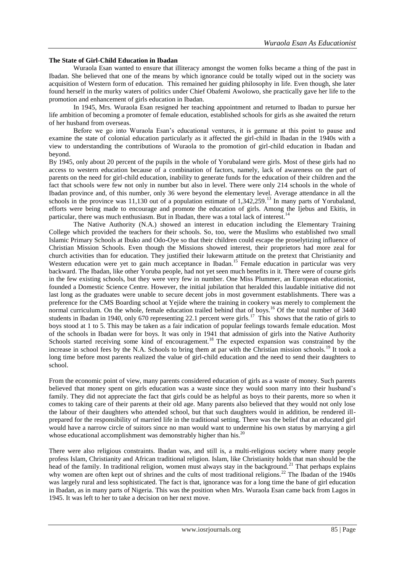#### **The State of Girl-Child Education in Ibadan**

Wuraola Esan wanted to ensure that illiteracy amongst the women folks became a thing of the past in Ibadan. She believed that one of the means by which ignorance could be totally wiped out in the society was acquisition of Western form of education. This remained her guiding philosophy in life. Even though, she later found herself in the murky waters of politics under Chief Obafemi Awolowo, she practically gave her life to the promotion and enhancement of girls education in Ibadan.

In 1945, Mrs. Wuraola Esan resigned her teaching appointment and returned to Ibadan to pursue her life ambition of becoming a promoter of female education, established schools for girls as she awaited the return of her husband from overseas.

Before we go into Wuraola Esan"s educational ventures, it is germane at this point to pause and examine the state of colonial education particularly as it affected the girl-child in Ibadan in the 1940s with a view to understanding the contributions of Wuraola to the promotion of girl-child education in Ibadan and beyond.

By 1945, only about 20 percent of the pupils in the whole of Yorubaland were girls. Most of these girls had no access to western education because of a combination of factors, namely, lack of awareness on the part of parents on the need for girl-child education, inability to generate funds for the education of their children and the fact that schools were few not only in number but also in level. There were only 214 schools in the whole of Ibadan province and, of this number, only 36 were beyond the elementary level. Average attendance in all the schools in the province was 11,130 out of a population estimate of 1,342,259.<sup>13</sup> In many parts of Yorubaland, efforts were being made to encourage and promote the education of girls. Among the Ijebus and Ekitis, in particular, there was much enthusiasm. But in Ibadan, there was a total lack of interest.<sup>14</sup>

The Native Authority (N.A.) showed an interest in education including the Elementary Training College which provided the teachers for their schools. So, too, were the Muslims who established two small Islamic Primary Schools at Ibuko and Odo-Oye so that their children could escape the proselytizing influence of Christian Mission Schools. Even though the Missions showed interest, their proprietors had more zeal for church activities than for education. They justified their lukewarm attitude on the pretext that Christianity and Western education were yet to gain much acceptance in Ibadan.<sup>15</sup> Female education in particular was very backward. The Ibadan, like other Yoruba people, had not yet seen much benefits in it. There were of course girls in the few existing schools, but they were very few in number. One Miss Plummer, an European educationist, founded a Domestic Science Centre. However, the initial jubilation that heralded this laudable initiative did not last long as the graduates were unable to secure decent jobs in most government establishments. There was a preference for the CMS Boarding school at Yejide where the training in cookery was merely to complement the normal curriculum. On the whole, female education trailed behind that of boys.<sup>16</sup> Of the total number of 3440 students in Ibadan in 1940, only 670 representing 22.1 percent were girls.<sup>17</sup> This shows that the ratio of girls to boys stood at 1 to 5. This may be taken as a fair indication of popular feelings towards female education. Most of the schools in Ibadan were for boys. It was only in 1941 that admission of girls into the Native Authority Schools started receiving some kind of encouragement.<sup>18</sup> The expected expansion was constrained by the increase in school fees by the N.A. Schools to bring them at par with the Christian mission schools.<sup>19</sup> It took a long time before most parents realized the value of girl-child education and the need to send their daughters to school.

From the economic point of view, many parents considered education of girls as a waste of money. Such parents believed that money spent on girls education was a waste since they would soon marry into their husband"s family. They did not appreciate the fact that girls could be as helpful as boys to their parents, more so when it comes to taking care of their parents at their old age. Many parents also believed that they would not only lose the labour of their daughters who attended school, but that such daughters would in addition, be rendered illprepared for the responsibility of married life in the traditional setting. There was the belief that an educated girl would have a narrow circle of suitors since no man would want to undermine his own status by marrying a girl whose educational accomplishment was demonstrably higher than his.<sup>20</sup>

There were also religious constraints. Ibadan was, and still is, a multi-religious society where many people profess Islam, Christianity and African traditional religion. Islam, like Christianity holds that man should be the head of the family. In traditional religion, women must always stay in the background.<sup>21</sup> That perhaps explains why women are often kept out of shrines and the cults of most traditional religions.<sup>22</sup> The Ibadan of the 1940s was largely rural and less sophisticated. The fact is that, ignorance was for a long time the bane of girl education in Ibadan, as in many parts of Nigeria. This was the position when Mrs. Wuraola Esan came back from Lagos in 1945. It was left to her to take a decision on her next move.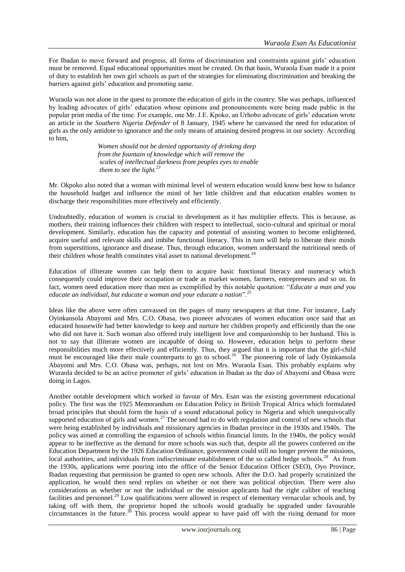For Ibadan to move forward and progress, all forms of discrimination and constraints against girls" education must be removed. Equal educational opportunities must be created. On that basis, Wuraola Esan made it a point of duty to establish her own girl schools as part of the strategies for eliminating discrimination and breaking the barriers against girls' education and promoting same.

Wuraola was not alone in the quest to promote the education of girls in the country. She was perhaps, influenced by leading advocates of girls" education whose opinions and pronouncements were being made public in the popular print media of the time. For example, one Mr. J.E. Kpoko, an Urhobo advocate of girls" education wrote an article in the *Southern Nigeria Defender* of 8 January, 1945 where he canvassed the need for education of girls as the only antidote to ignorance and the only means of attaining desired progress in our society. According to him,

> *Women should not be denied opportunity of drinking deep from the fountain of knowledge which will remove the scales of intellectual darkness from peoples eyes to enable them to see the light.<sup>23</sup>*

Mr. Okpoko also noted that a woman with minimal level of western education would know best how to balance the household budget and influence the mind of her little children and that education enables women to discharge their responsibilities more effectively and efficiently.

Undoubtedly, education of women is crucial to development as it has multiplier effects. This is because, as mothers, their training influences their children with respect to intellectual, socio-cultural and spiritual or moral development. Similarly, education has the capacity and potential of assisting women to become enlightened, acquire useful and relevant skills and imbibe functional literacy. This in turn will help to liberate their minds from superstitions, ignorance and disease. Thus, through education, women understand the nutritional needs of their children whose health constitutes vital asset to national development.<sup>24</sup>

Education of illiterate women can help them to acquire basic functional literacy and numeracy which consequently could improve their occupation or trade as market women, farmers, entrepreneurs and so on. In fact, women need education more than men as exemplified by this notable quotation: "*Educate a man and you educate an individual, but educate a woman and your educate a nation*".<sup>25</sup>

Ideas like the above were often canvassed on the pages of many newspapers at that time. For instance, Lady Oyinkansola Abayomi and Mrs. C.O. Obasa, two pioneer advocates of women education once said that an educated housewife had better knowledge to keep and nurture her children properly and efficiently than the one who did not have it. Such woman also offered truly intelligent love and companionship to her husband. This is not to say that illiterate women are incapable of doing so. However, education helps to perform these responsibilities much more effectively and efficiently. Thus, they argued that it is important that the girl-child must be encouraged like their male counterparts to go to school.<sup>26</sup> The pioneering role of lady Oyinkansola Abayomi and Mrs. C.O. Obasa was, perhaps, not lost on Mrs. Wuraola Esan. This probably explains why Wuraola decided to be an active promoter of girls" education in Ibadan as the duo of Abayomi and Obasa were doing in Lagos.

Another notable development which worked in favour of Mrs. Esan was the existing government educational policy. The first was the 1925 Memorandum on Education Policy in British Tropical Africa which formulated broad principles that should form the basis of a sound educational policy in Nigeria and which unequivocally supported education of girls and women.<sup>27</sup> The second had to do with regulation and control of new schools that were being established by individuals and missionary agencies in Ibadan province in the 1930s and 1940s. The policy was aimed at controlling the expansion of schools within financial limits. In the 1940s, the policy would appear to be ineffective as the demand for more schools was such that, despite all the powers conferred on the Education Department by the 1926 Education Ordinance, government could still no longer prevent the missions, local authorities, and individuals from indiscriminate establishment of the so called hedge schools.<sup>28</sup> As from the 1930s, applications were pouring into the office of the Senior Education Officer (SEO), Oyo Province, Ibadan requesting that permission be granted to open new schools. After the D.O. had properly scrutinized the application, he would then send replies on whether or not there was political objection. There were also considerations as whether or not the individual or the mission applicants had the right calibre of teaching facilities and personnel.<sup>29</sup> Low qualifications were allowed in respect of elementary vernacular schools and, by taking off with them, the proprietor hoped the schools would gradually be upgraded under favourable circumstances in the future.<sup>30</sup> This process would appear to have paid off with the rising demand for more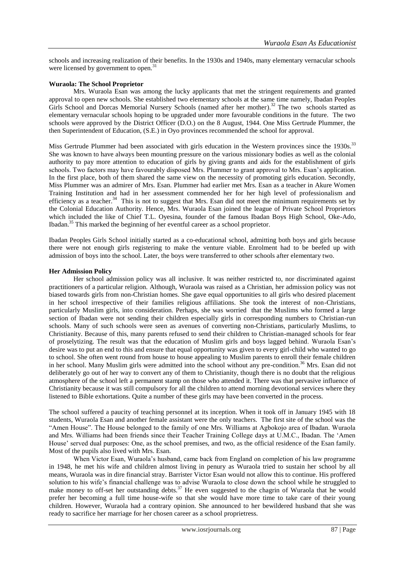schools and increasing realization of their benefits. In the 1930s and 1940s, many elementary vernacular schools were licensed by government to open.<sup>31</sup>

#### **Wuraola: The School Proprietor**

Mrs. Wuraola Esan was among the lucky applicants that met the stringent requirements and granted approval to open new schools. She established two elementary schools at the same time namely, Ibadan Peoples Girls School and Dorcas Memorial Nursery Schools (named after her mother).<sup>32</sup> The two schools started as elementary vernacular schools hoping to be upgraded under more favourable conditions in the future. The two schools were approved by the District Officer (D.O.) on the 8 August, 1944. One Miss Gertrude Plummer, the then Superintendent of Education, (S.E.) in Oyo provinces recommended the school for approval.

Miss Gertrude Plummer had been associated with girls education in the Western provinces since the 1930s.<sup>33</sup> She was known to have always been mounting pressure on the various missionary bodies as well as the colonial authority to pay more attention to education of girls by giving grants and aids for the establishment of girls schools. Two factors may have favourably disposed Mrs. Plummer to grant approval to Mrs. Esan's application. In the first place, both of them shared the same view on the necessity of promoting girls education. Secondly, Miss Plummer was an admirer of Mrs. Esan. Plummer had earlier met Mrs. Esan as a teacher in Akure Women Training Institution and had in her assessment commended her for her high level of professionalism and efficiency as a teacher.<sup>34</sup> This is not to suggest that Mrs. Esan did not meet the minimum requirements set by the Colonial Education Authority. Hence, Mrs. Wuraola Esan joined the league of Private School Proprietors which included the like of Chief T.L. Oyesina, founder of the famous Ibadan Boys High School, Oke-Ado, Ibadan.<sup>35</sup> This marked the beginning of her eventful career as a school proprietor.

Ibadan Peoples Girls School initially started as a co-educational school, admitting both boys and girls because there were not enough girls registering to make the venture viable. Enrolment had to be beefed up with admission of boys into the school. Later, the boys were transferred to other schools after elementary two.

## **Her Admission Policy**

Her school admission policy was all inclusive. It was neither restricted to, nor discriminated against practitioners of a particular religion. Although, Wuraola was raised as a Christian, her admission policy was not biased towards girls from non-Christian homes. She gave equal opportunities to all girls who desired placement in her school irrespective of their families religious affiliations. She took the interest of non-Christians, particularly Muslim girls, into consideration. Perhaps, she was worried that the Muslims who formed a large section of Ibadan were not sending their children especially girls in corresponding numbers to Christian-run schools. Many of such schools were seen as avenues of converting non-Christians, particularly Muslims, to Christianity. Because of this, many parents refused to send their children to Christian-managed schools for fear of proselytizing. The result was that the education of Muslim girls and boys lagged behind. Wuraola Esan"s desire was to put an end to this and ensure that equal opportunity was given to every girl-child who wanted to go to school. She often went round from house to house appealing to Muslim parents to enroll their female children in her school. Many Muslim girls were admitted into the school without any pre-condition.<sup>36</sup> Mrs. Esan did not deliberately go out of her way to convert any of them to Christianity, though there is no doubt that the religious atmosphere of the school left a permanent stamp on those who attended it. There was that pervasive influence of Christianity because it was still compulsory for all the children to attend morning devotional services where they listened to Bible exhortations. Quite a number of these girls may have been converted in the process.

The school suffered a paucity of teaching personnel at its inception. When it took off in January 1945 with 18 students, Wuraola Esan and another female assistant were the only teachers. The first site of the school was the "Amen House". The House belonged to the family of one Mrs. Williams at Agbokojo area of Ibadan. Wuraola and Mrs. Williams had been friends since their Teacher Training College days at U.M.C., Ibadan. The "Amen House" served dual purposes: One, as the school premises, and two, as the official residence of the Esan family. Most of the pupils also lived with Mrs. Esan.

When Victor Esan, Wuraola"s husband, came back from England on completion of his law programme in 1948, he met his wife and children almost living in penury as Wuraola tried to sustain her school by all means, Wuraola was in dire financial stray. Barrister Victor Esan would not allow this to continue. His proffered solution to his wife"s financial challenge was to advise Wuraola to close down the school while he struggled to make money to off-set her outstanding debts.<sup>37</sup> He even suggested to the chagrin of Wuraola that he would prefer her becoming a full time house-wife so that she would have more time to take care of their young children. However, Wuraola had a contrary opinion. She announced to her bewildered husband that she was ready to sacrifice her marriage for her chosen career as a school proprietress.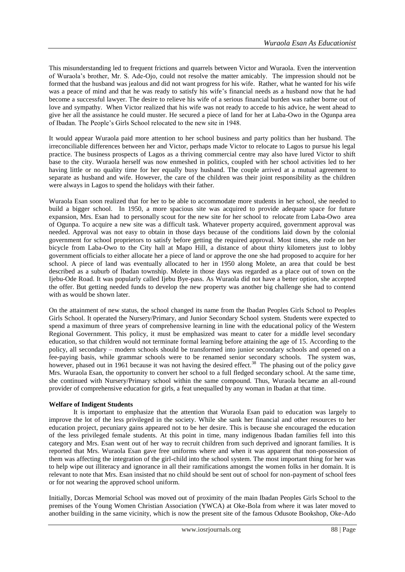This misunderstanding led to frequent frictions and quarrels between Victor and Wuraola. Even the intervention of Wuraola"s brother, Mr. S. Ade-Ojo, could not resolve the matter amicably. The impression should not be formed that the husband was jealous and did not want progress for his wife. Rather, what he wanted for his wife was a peace of mind and that he was ready to satisfy his wife's financial needs as a husband now that he had become a successful lawyer. The desire to relieve his wife of a serious financial burden was rather borne out of love and sympathy. When Victor realized that his wife was not ready to accede to his advice, he went ahead to give her all the assistance he could muster. He secured a piece of land for her at Laba-Owo in the Ogunpa area of Ibadan. The People"s Girls School relocated to the new site in 1948.

It would appear Wuraola paid more attention to her school business and party politics than her husband. The irreconciliable differences between her and Victor, perhaps made Victor to relocate to Lagos to pursue his legal practice. The business prospects of Lagos as a thriving commercial centre may also have lured Victor to shift base to the city. Wuraola herself was now enmeshed in politics, coupled with her school activities led to her having little or no quality time for her equally busy husband. The couple arrived at a mutual agreement to separate as husband and wife. However, the care of the children was their joint responsibility as the children were always in Lagos to spend the holidays with their father.

Wuraola Esan soon realized that for her to be able to accommodate more students in her school, she needed to build a bigger school. In 1950, a more spacious site was acquired to provide adequate space for future expansion, Mrs. Esan had to personally scout for the new site for her school to relocate from Laba-Owo area of Ogunpa. To acquire a new site was a difficult task. Whatever property acquired, government approval was needed. Approval was not easy to obtain in those days because of the conditions laid down by the colonial government for school proprietors to satisfy before getting the required approval. Most times, she rode on her bicycle from Laba-Owo to the City hall at Mapo Hill, a distance of about thirty kilometers just to lobby government officials to either allocate her a piece of land or approve the one she had proposed to acquire for her school. A piece of land was eventually allocated to her in 1950 along Molete, an area that could be best described as a suburb of Ibadan township. Molete in those days was regarded as a place out of town on the Ijebu-Ode Road. It was popularly called Ijebu Bye-pass. As Wuraola did not have a better option, she accepted the offer. But getting needed funds to develop the new property was another big challenge she had to contend with as would be shown later.

On the attainment of new status, the school changed its name from the Ibadan Peoples Girls School to Peoples Girls School. It operated the Nursery/Primary, and Junior Secondary School system. Students were expected to spend a maximum of three years of comprehensive learning in line with the educational policy of the Western Regional Government. This policy, it must be emphasized was meant to cater for a middle level secondary education, so that children would not terminate formal learning before attaining the age of 15. According to the policy, all secondary – modern schools should be transformed into junior secondary schools and opened on a fee-paying basis, while grammar schools were to be renamed senior secondary schools. The system was, however, phased out in 1961 because it was not having the desired effect.<sup>38</sup> The phasing out of the policy gave Mrs. Wuraola Esan, the opportunity to convert her school to a full fledged secondary school. At the same time, she continued with Nursery/Primary school within the same compound. Thus, Wuraola became an all-round provider of comprehensive education for girls, a feat unequalled by any woman in Ibadan at that time.

## **Welfare of Indigent Students**

It is important to emphasize that the attention that Wuraola Esan paid to education was largely to improve the lot of the less privileged in the society. While she sank her financial and other resources to her education project, pecuniary gains appeared not to be her desire. This is because she encouraged the education of the less privileged female students. At this point in time, many indigenous Ibadan families fell into this category and Mrs. Esan went out of her way to recruit children from such deprived and ignorant families. It is reported that Mrs. Wuraola Esan gave free uniforms where and when it was apparent that non-possession of them was affecting the integration of the girl-child into the school system. The most important thing for her was to help wipe out illiteracy and ignorance in all their ramifications amongst the women folks in her domain. It is relevant to note that Mrs. Esan insisted that no child should be sent out of school for non-payment of school fees or for not wearing the approved school uniform.

Initially, Dorcas Memorial School was moved out of proximity of the main Ibadan Peoples Girls School to the premises of the Young Women Christian Association (YWCA) at Oke-Bola from where it was later moved to another building in the same vicinity, which is now the present site of the famous Odusote Bookshop, Oke-Ado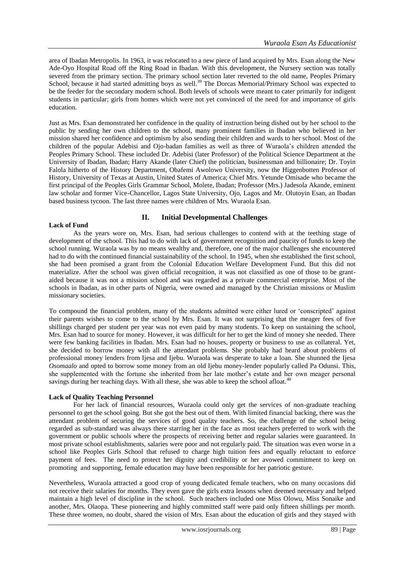area of Ibadan Metropolis. In 1963, it was relocated to a new piece of land acquired by Mrs. Esan along the New Ade-Oyo Hospital Road off the Ring Road in Ibadan. With this development, the Nursery section was totally severed from the primary section. The primary school section later reverted to the old name, Peoples Primary School, because it had started admitting boys as well.<sup>39</sup> The Dorcas Memorial/Primary School was expected to be the feeder for the secondary modern school. Both levels of schools were meant to cater primarily for indigent students in particular; girls from homes which were not yet convinced of the need for and importance of girls education.

Just as Mrs. Esan demonstrated her confidence in the quality of instruction being dished out by her school to the public by sending her own children to the school, many prominent families in Ibadan who believed in her mission shared her confidence and optimism by also sending their children and wards to her school. Most of the children of the popular Adebisi and Ojo-badan families as well as three of Wuraola"s children attended the Peoples Primary School. These included Dr. Adebisi (later Professor) of the Political Science Department at the University of Ibadan, Ibadan; Harry Akande (later Chief) the politician, businessman and billionaire; Dr. Toyin Falola hitherto of the History Department, Obafemi Awolowo University, now the Higgenbotten Professor of History, University of Texas at Austin, United States of America; Chief Mrs. Yetunde Omisade who became the first principal of the Peoples Girls Grammar School, Molete, Ibadan; Professor (Mrs.) Jadesola Akande, eminent law scholar and former Vice-Chancellor, Lagos State University, Ojo, Lagos and Mr. Olutoyin Esan, an Ibadan based business tycoon. The last three names were children of Mrs. Wuraola Esan.

## **II. Initial Developmental Challenges**

#### As the years wore on, Mrs. Esan, had serious challenges to contend with at the teething stage of development of the school. This had to do with lack of government recognition and paucity of funds to keep the school running. Wuraola was by no means wealthy and, therefore, one of the major challenges she encountered had to do with the continued financial sustainability of the school. In 1945, when she established the first school, she had been promised a grant from the Colonial Education Welfare Development Fund. But this did not materialize. After the school was given official recognition, it was not classified as one of those to be grantaided because it was not a mission school and was regarded as a private commercial enterprise. Most of the schools in Ibadan, as in other parts of Nigeria, were owned and managed by the Christian missions or Muslim missionary societies.

To compound the financial problem, many of the students admitted were either lured or "conscripted" against their parents wishes to come to the school by Mrs. Esan. It was not surprising that the meager fees of five shillings charged per student per year was not even paid by many students. To keep on sustaining the school, Mrs. Esan had to source for money. However, it was difficult for her to get the kind of money she needed. There were few banking facilities in Ibadan. Mrs. Esan had no houses, property or business to use as collateral. Yet, she decided to borrow money with all the attendant problems. She probably had heard about problems of professional money lenders from Ijesa and Ijebu. Wuraola was desperate to take a loan. She shunned the Ijesa *Osomaalo* and opted to borrow some money from an old Ijebu money-lender popularly called Pa Odunsi. This, she supplemented with the fortune she inherited from her late mother"s estate and her own meager personal savings during her teaching days. With all these, she was able to keep the school afloat.<sup>40</sup>

## **Lack of Quality Teaching Personnel**

**Lack of Fund**

For her lack of financial resources, Wuraola could only get the services of non-graduate teaching personnel to get the school going. But she got the best out of them. With limited financial backing, there was the attendant problem of securing the services of good quality teachers. So, the challenge of the school being regarded as sub-standard was always there starring her in the face as most teachers preferred to work with the government or public schools where the prospects of receiving better and regular salaries were guaranteed. In most private school establishments, salaries were poor and not regularly paid. The situation was even worse in a school like Peoples Girls School that refused to charge high tuition fees and equally reluctant to enforce payment of fees. The need to protect her dignity and credibility or her avowed commitment to keep on promoting and supporting, female education may have been responsible for her patriotic gesture.

Nevertheless, Wuraola attracted a good crop of young dedicated female teachers, who on many occasions did not receive their salaries for months. They even gave the girls extra lessons when deemed necessary and helped maintain a high level of discipline in the school. Such teachers included one Miss Olowu, Miss Sonaike and another, Mrs. Olaopa. These pioneering and highly committed staff were paid only fifteen shillings per month. These three women, no doubt, shared the vision of Mrs. Esan about the education of girls and they stayed with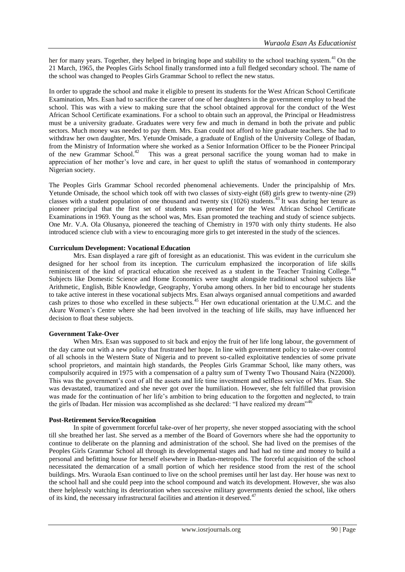her for many years. Together, they helped in bringing hope and stability to the school teaching system.<sup>41</sup>On the 21 March, 1965, the Peoples Girls School finally transformed into a full fledged secondary school. The name of the school was changed to Peoples Girls Grammar School to reflect the new status.

In order to upgrade the school and make it eligible to present its students for the West African School Certificate Examination, Mrs. Esan had to sacrifice the career of one of her daughters in the government employ to head the school. This was with a view to making sure that the school obtained approval for the conduct of the West African School Certificate examinations. For a school to obtain such an approval, the Principal or Headmistress must be a university graduate. Graduates were very few and much in demand in both the private and public sectors. Much money was needed to pay them. Mrs. Esan could not afford to hire graduate teachers. She had to withdraw her own daughter, Mrs. Yetunde Omisade, a graduate of English of the University College of Ibadan, from the Ministry of Information where she worked as a Senior Information Officer to be the Pioneer Principal of the new Grammar School.<sup>42</sup> This was a great personal sacrifice the young woman had to make in appreciation of her mother"s love and care, in her quest to uplift the status of womanhood in contemporary Nigerian society.

The Peoples Girls Grammar School recorded phenomenal achievements. Under the principalship of Mrs. Yetunde Omisade, the school which took off with two classes of sixty-eight (68) girls grew to twenty-nine (29) classes with a student population of one thousand and twenty six (1026) students.<sup>43</sup>It was during her tenure as pioneer principal that the first set of students was presented for the West African School Certificate Examinations in 1969. Young as the school was, Mrs. Esan promoted the teaching and study of science subjects. One Mr. V.A. Ola Olusanya, pioneered the teaching of Chemistry in 1970 with only thirty students. He also introduced science club with a view to encouraging more girls to get interested in the study of the sciences.

## **Curriculum Development: Vocational Education**

Mrs. Esan displayed a rare gift of foresight as an educationist. This was evident in the curriculum she designed for her school from its inception. The curriculum emphasized the incorporation of life skills reminiscent of the kind of practical education she received as a student in the Teacher Training College.<sup>44</sup>  $\ddot{\phantom{a}}$ Subjects like Domestic Science and Home Economics were taught alongside traditional school subjects like Arithmetic, English, Bible Knowledge, Geography, Yoruba among others. In her bid to encourage her students to take active interest in these vocational subjects Mrs. Esan always organised annual competitions and awarded cash prizes to those who excelled in these subjects.<sup>45</sup> Her own educational orientation at the U.M.C. and the Akure Women"s Centre where she had been involved in the teaching of life skills, may have influenced her decision to float these subjects.

## **Government Take-Over**

When Mrs. Esan was supposed to sit back and enjoy the fruit of her life long labour, the government of the day came out with a new policy that frustrated her hope. In line with government policy to take-over control of all schools in the Western State of Nigeria and to prevent so-called exploitative tendencies of some private school proprietors, and maintain high standards, the Peoples Girls Grammar School, like many others, was compulsorily acquired in 1975 with a compensation of a paltry sum of Twenty Two Thousand Naira (N22000). This was the government"s cost of all the assets and life time investment and selfless service of Mrs. Esan. She was devastated, traumatized and she never got over the humiliation. However, she felt fulfilled that provision was made for the continuation of her life's ambition to bring education to the forgotten and neglected, to train the girls of Ibadan. Her mission was accomplished as she declared: "I have realized my dream"<sup>4</sup>

## **Post-Retirement Service/Recognition**

In spite of government forceful take-over of her property, she never stopped associating with the school till she breathed her last. She served as a member of the Board of Governors where she had the opportunity to continue to deliberate on the planning and administration of the school. She had lived on the premises of the Peoples Girls Grammar School all through its developmental stages and had had no time and money to build a personal and befitting house for herself elsewhere in Ibadan-metropolis. The forceful acquisition of the school necessitated the demarcation of a small portion of which her residence stood from the rest of the school buildings. Mrs. Wuraola Esan continued to live on the school premises until her last day. Her house was next to the school hall and she could peep into the school compound and watch its development. However, she was also there helplessly watching its deterioration when successive military governments denied the school, like others of its kind, the necessary infrastructural facilities and attention it deserved.<sup>47</sup>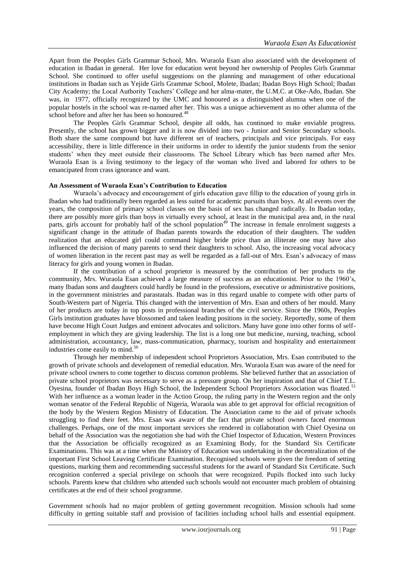Apart from the Peoples Girls Grammar School, Mrs. Wuraola Esan also associated with the development of education in Ibadan in general. Her love for education went beyond her ownership of Peoples Girls Grammar School. She continued to offer useful suggestions on the planning and management of other educational institutions in Ibadan such as Yejide Girls Grammar School, Molete, Ibadan; Ibadan Boys High School; Ibadan City Academy; the Local Authority Teachers" College and her alma-mater, the U.M.C. at Oke-Ado, Ibadan. She was, in 1977, officially recognized by the UMC and honoured as a distinguished alumna when one of the popular hostels in the school was re-named after her. This was a unique achievement as no other alumna of the school before and after her has been so honoured.<sup>48</sup>

The Peoples Girls Grammar School, despite all odds, has continued to make enviable progress. Presently, the school has grown bigger and it is now divided into two - Junior and Senior Secondary schools. Both share the same compound but have different set of teachers, principals and vice principals. For easy accessibility, there is little difference in their uniforms in order to identify the junior students from the senior students" when they meet outside their classrooms. The School Library which has been named after Mrs. Wuraola Esan is a living testimony to the legacy of the woman who lived and labored for others to be emancipated from crass ignorance and want.

#### **An Assessment of Wuraola Esan's Contribution to Education**

Wuraola"s advocacy and encouragement of girls education gave fillip to the education of young girls in Ibadan who had traditionally been regarded as less suited for academic pursuits than boys. At all events over the years, the composition of primary school classes on the basis of sex has changed radically. In Ibadan today, there are possibly more girls than boys in virtually every school, at least in the municipal area and, in the rural parts, girls account for probably half of the school population<sup>49</sup> The increase in female enrolment suggests a significant change in the attitude of Ibadan parents towards the education of their daughters. The sudden realization that an educated girl could command higher bride price than an illiterate one may have also influenced the decision of many parents to send their daughters to school. Also, the increasing vocal advocacy of women liberation in the recent past may as well be regarded as a fall-out of Mrs. Esan"s advocacy of mass literacy for girls and young women in Ibadan.

If the contribution of a school proprietor is measured by the contribution of her products to the community, Mrs. Wuraola Esan achieved a large measure of success as an educationist. Prior to the 1960"s, many Ibadan sons and daughters could hardly be found in the professions, executive or administrative positions, in the government ministries and parastatals. Ibadan was in this regard unable to compete with other parts of South-Western part of Nigeria. This changed with the intervention of Mrs. Esan and others of her mould. Many of her products are today in top posts in professional branches of the civil service. Since the 1960s, Peoples Girls institution graduates have blossomed and taken leading positions in the society. Reportedly, some of them have become High Court Judges and eminent advocates and solicitors. Many have gone into other forms of selfemployment in which they are giving leadership. The list is a long one but medicine, nursing, teaching, school administration, accountancy, law, mass-communication, pharmacy, tourism and hospitality and entertainment industries come easily to mind.<sup>50</sup>

Through her membership of independent school Proprietors Association, Mrs. Esan contributed to the growth of private schools and development of remedial education. Mrs. Wuraola Esan was aware of the need for private school owners to come together to discuss common problems. She believed further that an association of private school proprietors was necessary to serve as a pressure group. On her inspiration and that of Chief T.L. Oyesina, founder of Ibadan Boys High School, the Independent School Proprietors Association was floated.<sup>51</sup> With her influence as a woman leader in the Action Group, the ruling party in the Western region and the only woman senator of the Federal Republic of Nigeria, Wuraola was able to get approval for official recognition of the body by the Western Region Ministry of Education. The Association came to the aid of private schools struggling to find their feet. Mrs. Esan was aware of the fact that private school owners faced enormous challenges. Perhaps, one of the most important services she rendered in collaboration with Chief Oyesina on behalf of the Association was the negotiation she had with the Chief Inspector of Education, Western Provinces that the Association be officially recognized as an Examining Body, for the Standard Six Certificate Examinations. This was at a time when the Ministry of Education was undertaking in the decentralization of the important First School Leaving Certificate Examination. Recognised schools were given the freedom of setting questions, marking them and recommending successful students for the award of Standard Six Certificate. Such recognition conferred a special privilege on schools that were recognized. Pupils flocked into such lucky schools. Parents knew that children who attended such schools would not encounter much problem of obtaining certificates at the end of their school programme.

Government schools had no major problem of getting government recognition. Mission schools had some difficulty in getting suitable staff and provision of facilities including school halls and essential equipment.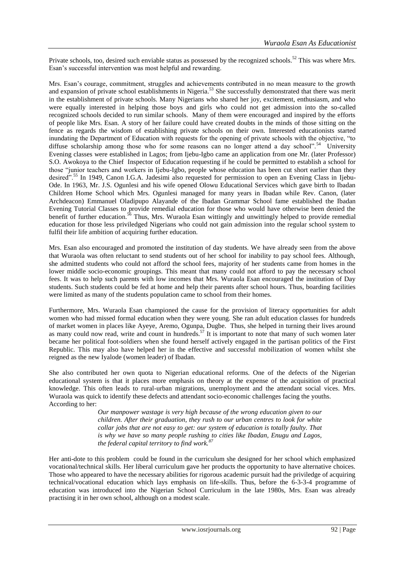Private schools, too, desired such enviable status as possessed by the recognized schools.<sup>52</sup> This was where Mrs. Esan"s successful intervention was most helpful and rewarding.

Mrs. Esan"s courage, commitment, struggles and achievements contributed in no mean measure to the growth and expansion of private school establishments in Nigeria.<sup>53</sup> She successfully demonstrated that there was merit in the establishment of private schools. Many Nigerians who shared her joy, excitement, enthusiasm, and who were equally interested in helping those boys and girls who could not get admission into the so-called recognized schools decided to run similar schools. Many of them were encouraged and inspired by the efforts of people like Mrs. Esan. A story of her failure could have created doubts in the minds of those sitting on the fence as regards the wisdom of establishing private schools on their own. Interested educationists started inundating the Department of Education with requests for the opening of private schools with the objective, "to diffuse scholarship among those who for some reasons can no longer attend a day school".<sup>54</sup> University Evening classes were established in Lagos; from Ijebu-Igbo came an application from one Mr. (later Professor) S.O. Awokoya to the Chief Inspector of Education requesting if he could be permitted to establish a school for those "junior teachers and workers in Ijebu-Igbo, people whose education has been cut short earlier than they desired".<sup>55</sup> In 1949, Canon I.G.A. Jadesimi also requested for permission to open an Evening Class in Ijebu-Ode. In 1963, Mr. J.S. Ogunlesi and his wife opened Olowu Educational Services which gave birth to Ibadan Children Home School which Mrs. Ogunlesi managed for many years in Ibadan while Rev. Canon, (later Archdeacon) Emmanuel Oladipupo Alayande of the Ibadan Grammar School fame established the Ibadan Evening Tutorial Classes to provide remedial education for those who would have otherwise been denied the benefit of further education.<sup>56</sup> Thus, Mrs. Wuraola Esan wittingly and unwittingly helped to provide remedial education for those less priviledged Nigerians who could not gain admission into the regular school system to fulfil their life ambition of acquiring further education.

Mrs. Esan also encouraged and promoted the institution of day students. We have already seen from the above that Wuraola was often reluctant to send students out of her school for inability to pay school fees. Although, she admitted students who could not afford the school fees, majority of her students came from homes in the lower middle socio-economic groupings. This meant that many could not afford to pay the necessary school fees. It was to help such parents with low incomes that Mrs. Wuraola Esan encouraged the institution of Day students. Such students could be fed at home and help their parents after school hours. Thus, boarding facilities were limited as many of the students population came to school from their homes.

Furthermore, Mrs. Wuraola Esan championed the cause for the provision of literacy opportunities for adult women who had missed formal education when they were young. She ran adult education classes for hundreds of market women in places like Ayeye, Aremo, Ogunpa, Dugbe. Thus, she helped in turning their lives around as many could now read, write and count in hundreds.<sup>57</sup> It is important to note that many of such women later became her political foot-soldiers when she found herself actively engaged in the partisan politics of the First Republic. This may also have helped her in the effective and successful mobilization of women whilst she reigned as the new Iyalode (women leader) of Ibadan.

She also contributed her own quota to Nigerian educational reforms. One of the defects of the Nigerian educational system is that it places more emphasis on theory at the expense of the acquisition of practical knowledge. This often leads to rural-urban migrations, unemployment and the attendant social vices. Mrs. Wuraola was quick to identify these defects and attendant socio-economic challenges facing the youths. According to her:

> *Our manpower wastage is very high because of the wrong education given to our children. After their graduation, they rush to our urban centres to look for white collar jobs that are not easy to get: our system of education is totally faulty. That is why we have so many people rushing to cities like Ibadan, Enugu and Lagos, the federal capital territory to find work.<sup>87</sup>*

Her anti-dote to this problem could be found in the curriculum she designed for her school which emphasized vocational/technical skills. Her liberal curriculum gave her products the opportunity to have alternative choices. Those who appeared to have the necessary abilities for rigorous academic pursuit had the priviledge of acquiring technical/vocational education which lays emphasis on life-skills. Thus, before the 6-3-3-4 programme of education was introduced into the Nigerian School Curriculum in the late 1980s, Mrs. Esan was already practising it in her own school, although on a modest scale.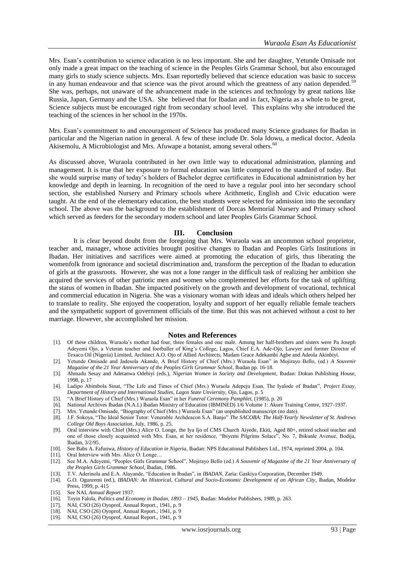Mrs. Esan"s contribution to science education is no less important. She and her daughter, Yetunde Omisade not only made a great impact on the teaching of science in the Peoples Girls Grammar School, but also encouraged many girls to study science subjects. Mrs. Esan reportedly believed that science education was basic to success in any human endeavour and that science was the pivot around which the greatness of any nation depended. $\dot{\cdot}$ She was, perhaps, not unaware of the advancement made in the sciences and technology by great nations like Russia, Japan, Germany and the USA. She believed that for Ibadan and in fact, Nigeria as a whole to be great, Science subjects must be encouraged right from secondary school level. This explains why she introduced the teaching of the sciences in her school in the 1970s.

Mrs. Esan"s commitment to and encouragement of Science has produced many Science graduates for Ibadan in particular and the Nigerian nation in general. A few of these include Dr. Sola Idowu, a medical doctor, Adeola Akisemolu, A Microbiologist and Mrs. Afuwape a botanist, among several others.<sup>60</sup>

As discussed above, Wuraola contributed in her own little way to educational administration, planning and management. It is true that her exposure to formal education was little compared to the standard of today. But she would surprise many of today"s holders of Bachelor degree certificates in Educational administration by her knowledge and depth in learning. In recognition of the need to have a regular pool into her secondary school section, she established Nursery and Primary schools where Arithmetic, English and Civic education were taught. At the end of the elementary education, the best students were selected for admission into the secondary school. The above was the background to the establishment of Dorcas Memorial Nursery and Primary school which served as feeders for the secondary modern school and later Peoples Girls Grammar School.

#### **III. Conclusion**

It is clear beyond doubt from the foregoing that Mrs. Wuraola was an uncommon school proprietor, teacher and, manager, whose activities brought positive changes to Ibadan and Peoples Girls Institutions in Ibadan. Her initiatives and sacrifices were aimed at promoting the education of girls, thus liberating the womenfolk from ignorance and societal discrimination and, transform the perception of the Ibadan to education of girls at the grassroots. However, she was not a lone ranger in the difficult task of realizing her ambition she acquired the services of other patriotic men and women who complemented her efforts for the task of uplifting the status of women in Ibadan. She impacted positively on the growth and development of vocational, technical and commercial education in Nigeria. She was a visionary woman with ideas and ideals which others helped her to translate to reality. She enjoyed the cooperation, loyalty and support of her equally reliable female teachers and the sympathetic support of government officials of the time. But this was not achieved without a cost to her marriage. However, she accomplished her mission.

#### **Notes and References**

- [1]. Of these children, Wuraola"s mother had four, three females and one male. Among her half-brothers and sisters were Pa Joseph Adeyemi Ojo, a Veteran teacher and footballer of King's College, Lagos, Chief E.A. Ade-Ojo, Lawyer and former Director of Texaco Oil (Nigeria) Limited, Architect A.O. Ojo of Allied Architects, Madam Grace Adekambi Agbe and Adeola Akinbiyi.
- [2]. Yetunde Omisade and Jadesola Akande, A Brief History of Chief (Mrs.) Wuraola Esan" in Mojirayo Bello, (ed.) *A Souvenir Magazine of the 21 Year Anniversary of the Peoples Girls Grammar School*, Ibadan pp. 16-18.
- [3]. Ahmadu Sesay and Adetanwa Odebiyi (eds.), *Nigerian Women in Society and Development*, Ibadan: Dokun Publishing House, 1998, p. 17
- [4]. Ladipo Abimbola Sinat, "The Life and Times of Chief (Mrs.) Wuraola Adepeju Esan, The Iyalode of Ibadan", *Project Essay, Department of History and International Studies, Lagos State Unviersity,* Ojo, Lagos, p. 5
- [5]. "A Brief History of Chief (Mrs.) Wuraola Esan" in her *Funeral Ceremony Pamphlet*, (1985), p. 20
- [6]. National Archives Ibadan (N.A.I.) Ibadan Ministry of Education (IBMINED) 1/6 Volume 1: Akure Training Centre, 1927-1937.
- Mrs. Yetunde Omisade, "Biography of Chief (Mrs.) Wuraola Esan" (an unpublished manuscript (no date).
- [8]. J.F. Sokoya, "The Ideal Senior Tutor: Venerable Archdeacon S.A. Banjo" *The SACOBA: The Half-Yearly Newsletter of St. Andrews College Old Boys Association*, July, 1986, p. 25.
- [9]. Oral interview with Chief (Mrs.) Alice O. Longe, the Iya Ijo of CMS Church Aiyede, Ekiti, Aged 80+, retired school teacher and one of those closely acquainted with Mrs. Esan, at her residence, "Ibiyemi Pilgrims Solace", No. 7, Ibikunle Avenue, Bodija, Ibadan, 3/2/95.
- [10]. See Babs A. Fafunwa, *History of Education in Nigeria*, Ibadan: NPS Educational Publishers Ltd., 1974, reprinted 2004, p. 104.
- [11]. Oral Interview with Mrs. Alice O. Longe…
- [12]. See M.A. Adeyemi, "Peoples Girls Grammar School", Mojirayo Bello (ed.) *A Souvenir of Magazine of the 21 Year Anniversary of the Peoples Girls Grammar School*, Ibadan, 1986.
- [13]. T.V. Aderinola and E.A. Alayande, "Education in Ibadan", in *IBADAN*, Zaria: Gaskiya Corporation, December 1949.
- [14]. G.O. Ogunremi (ed.), *IBADAN: An Historical, Cultural and Socio-Economic Development of an African City*, Ibadan, Modelor Press, 1999, p. 415
- [15]. See NAI, *Annual Report* 1937.
- [16]. Toyin Falola, *Politics and Economy in Ibadan, 1893 – 1945*, Ibadan: Modelor Publishers, 1989, p. 263.
- [17]. NAI, CSO (26) Oyoprof, Annual Report., 1941, p. 9
- [18]. NAI, CSO (26) Oyoprof, Annual Report., 1941, p. 9
- [19]. NAI, CSO (26) Oyoprof, Annual Report., 1941, p. 9